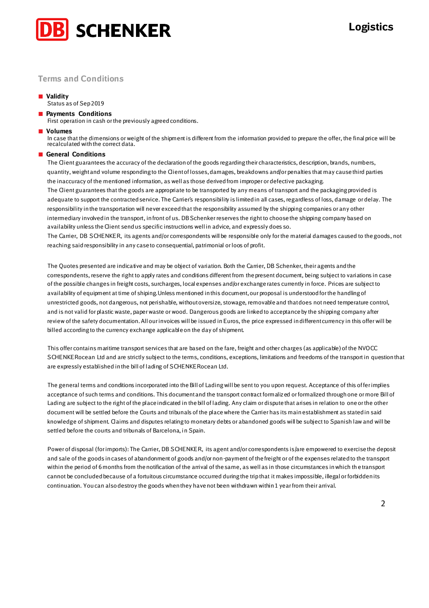

# **Terms and Conditions**

### ■ **Validity**

Status as of Sep 2019

### ■ **Payments Conditions**

First operation in cash or the previously agreed conditions.

■ **Volumes**

In case that the dimensions or weight of the shipment is different from the information provided to prepare the offer, the final price will be recalculated with the correct data.

## ■ **General Conditions**

The Client guarantees the accuracy of the declaration of the goods regarding their characteristics, description, brands, numbers, quantity, weight and volume responding to the Client of losses, damages, breakdowns and/or penalties that may cause third parties the inaccuracy of the mentioned information, as well as those derived from improper or defective packaging. The Client guarantees that the goods are appropriate to be transported by any means of transport and the packaging provided is adequate to support the contracted service. The Carrier's responsibility is limited in all cases, regardless of loss, damage or delay. The responsibility in the transportation will never exceed that the responsibility assumed by the shipping companies or any other intermediary involved in the transport, in front of us. DB Schenker reserves the right to choose the shipping company based on availability unless the Client send us specific instructions well in advice, and expressly does so.

The Carrier, DB SCHENKER, its agents and/or correspondents will be responsible only for the material damages caused to the goods, not reaching said responsibility in any case to consequential, patrimonial or loos of profit.

The Quotes presented are indicative and may be object of variation. Both the Carrier, DB Schenker, their agents and the correspondents, reserve the right to apply rates and conditions different from the present document, being subject to variations in case of the possible changes in freight costs, surcharges, local expenses and/or exchange rates currently in force. Prices are subject to availability of equipment at time of shiping.Unless mentioned in this document, our proposal is understood for the handling of unrestricted goods, not dangerous, not perishable, without oversize, stowage, removable and that does not need temperature control, and is not valid for plastic waste, paper waste or wood. Dangerous goods are linked to acceptance by the shipping company after review of the safety documentation. All our invoices will be issued in Euros, the price expressed in different currency in this offer will be billed according to the currency exchange applicable on the day of shipment.

This offer contains maritime transport services that are based on the fare, freight and other charges (as applicable) of the NVOCC SCHENKERocean Ltd and are strictly subject to the terms, conditions, exceptions, limitations and freedoms of the transport in question that are expressly established in the bill of lading of SCHENKERocean Ltd.

The general terms and conditions incorporated into the Bill of Lading will be sent to you upon request. Acceptance of this of fer implies acceptance of such terms and conditions. This document and the transport contract formalized or formalized through one or more Bill of Lading are subject to the right of the place indicated in the bill of lading. Any claim or dispute that arises in relation to one or the other document will be settled before the Courts and tribunals of the place where the Carrier has its main establishment as stated in said knowledge of shipment. Claims and disputes relating to monetary debts or abandoned goods will be subject to Spanish law and will be settled before the courts and tribunals of Barcelona, in Spain.

Power of disposal (for imports): The Carrier, DB SCHENKER, its agent and/or correspondents is/are empowered to exercise the deposit and sale of the goods in cases of abandonment of goods and/or non-payment of the freight or of the expenses related to the transport within the period of 6 months from the notification of the arrival of the same, as well as in those circumstances in which th e transport cannot be concluded because of a fortuitous circumstance occurred during the trip that it makes impossible, illegal or forbidden its continuation. You can also destroy the goods when they have not been withdrawn within 1 year from their arrival.